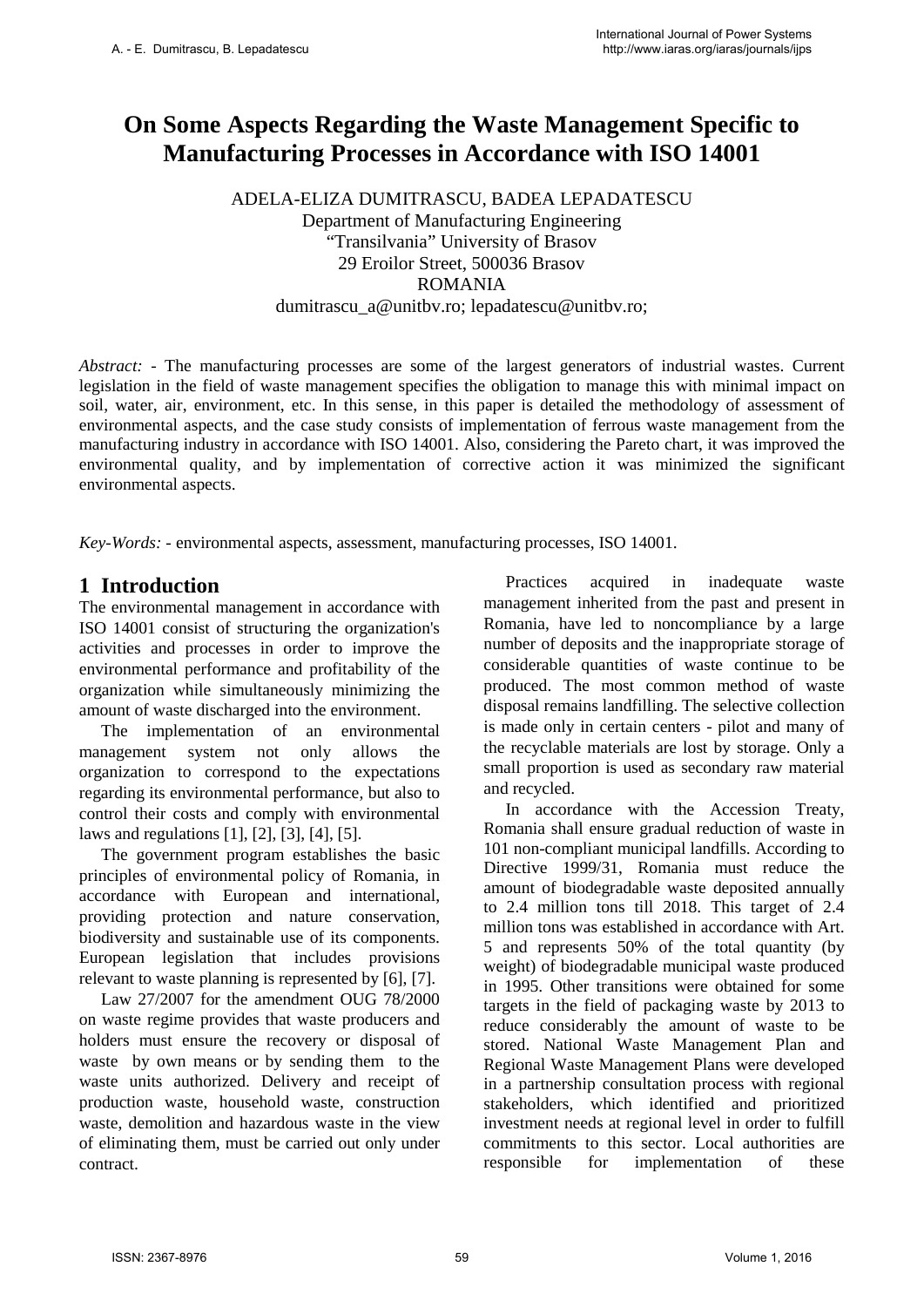# **On Some Aspects Regarding the Waste Management Specific to Manufacturing Processes in Accordance with ISO 14001**

ADELA-ELIZA DUMITRASCU, BADEA LEPADATESCU Department of Manufacturing Engineering "Transilvania" University of Brasov 29 Eroilor Street, 500036 Brasov ROMANIA dumitrascu a@unitbv.ro; lepadatescu@unitbv.ro;

*Abstract:* - The manufacturing processes are some of the largest generators of industrial wastes. Current legislation in the field of waste management specifies the obligation to manage this with minimal impact on soil, water, air, environment, etc. In this sense, in this paper is detailed the methodology of assessment of environmental aspects, and the case study consists of implementation of ferrous waste management from the manufacturing industry in accordance with ISO 14001. Also, considering the Pareto chart, it was improved the environmental quality, and by implementation of corrective action it was minimized the significant environmental aspects.

*Key-Words: -* environmental aspects, assessment, manufacturing processes, ISO 14001.

### **1 Introduction**

The environmental management in accordance with ISO 14001 consist of structuring the organization's activities and processes in order to improve the environmental performance and profitability of the organization while simultaneously minimizing the amount of waste discharged into the environment.

The implementation of an environmental management system not only allows the organization to correspond to the expectations regarding its environmental performance, but also to control their costs and comply with environmental laws and regulations [1], [2], [3], [4], [5].

The government program establishes the basic principles of environmental policy of Romania, in accordance with European and international, providing protection and nature conservation, biodiversity and sustainable use of its components. European legislation that includes provisions relevant to waste planning is represented by [6], [7].

Law 27/2007 for the amendment OUG 78/2000 on waste regime provides that waste producers and holders must ensure the recovery or disposal of waste by own means or by sending them to the waste units authorized. Delivery and receipt of production waste, household waste, construction waste, demolition and hazardous waste in the view of eliminating them, must be carried out only under contract.

Practices acquired in inadequate waste management inherited from the past and present in Romania, have led to noncompliance by a large number of deposits and the inappropriate storage of considerable quantities of waste continue to be produced. The most common method of waste disposal remains landfilling. The selective collection is made only in certain centers - pilot and many of the recyclable materials are lost by storage. Only a small proportion is used as secondary raw material and recycled.

In accordance with the Accession Treaty, Romania shall ensure gradual reduction of waste in 101 non-compliant municipal landfills. According to Directive 1999/31, Romania must reduce the amount of biodegradable waste deposited annually to 2.4 million tons till 2018. This target of 2.4 million tons was established in accordance with Art. 5 and represents 50% of the total quantity (by weight) of biodegradable municipal waste produced in 1995. Other transitions were obtained for some targets in the field of packaging waste by 2013 to reduce considerably the amount of waste to be stored. National Waste Management Plan and Regional Waste Management Plans were developed in a partnership consultation process with regional stakeholders, which identified and prioritized investment needs at regional level in order to fulfill commitments to this sector. Local authorities are responsible for implementation of these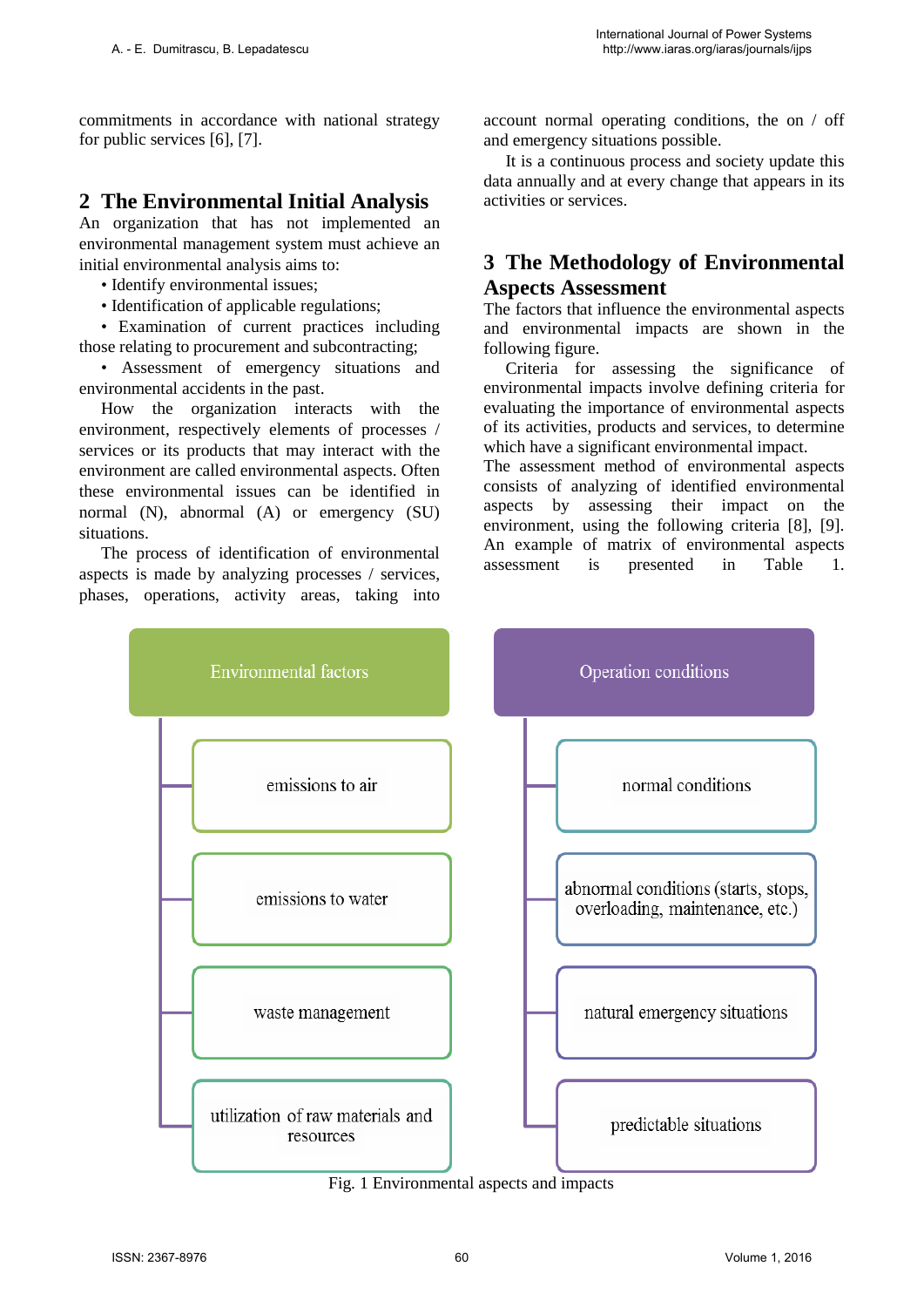commitments in accordance with national strategy for public services [6], [7].

## **2 The Environmental Initial Analysis**

An organization that has not implemented an environmental management system must achieve an initial environmental analysis aims to:

- Identify environmental issues;
- Identification of applicable regulations;

• Examination of current practices including those relating to procurement and subcontracting;

• Assessment of emergency situations and environmental accidents in the past.

How the organization interacts with the environment, respectively elements of processes / services or its products that may interact with the environment are called environmental aspects. Often these environmental issues can be identified in normal (N), abnormal (A) or emergency (SU) situations.

The process of identification of environmental aspects is made by analyzing processes / services, phases, operations, activity areas, taking into account normal operating conditions, the on / off and emergency situations possible.

It is a continuous process and society update this data annually and at every change that appears in its activities or services.

# **3 The Methodology of Environmental Aspects Assessment**

The factors that influence the environmental aspects and environmental impacts are shown in the following figure.

Criteria for assessing the significance of environmental impacts involve defining criteria for evaluating the importance of environmental aspects of its activities, products and services, to determine which have a significant environmental impact.

The assessment method of environmental aspects consists of analyzing of identified environmental aspects by assessing their impact on the environment, using the following criteria [8], [9]. An example of matrix of environmental aspects assessment is presented in Table 1.



Fig. 1 Environmental aspects and impacts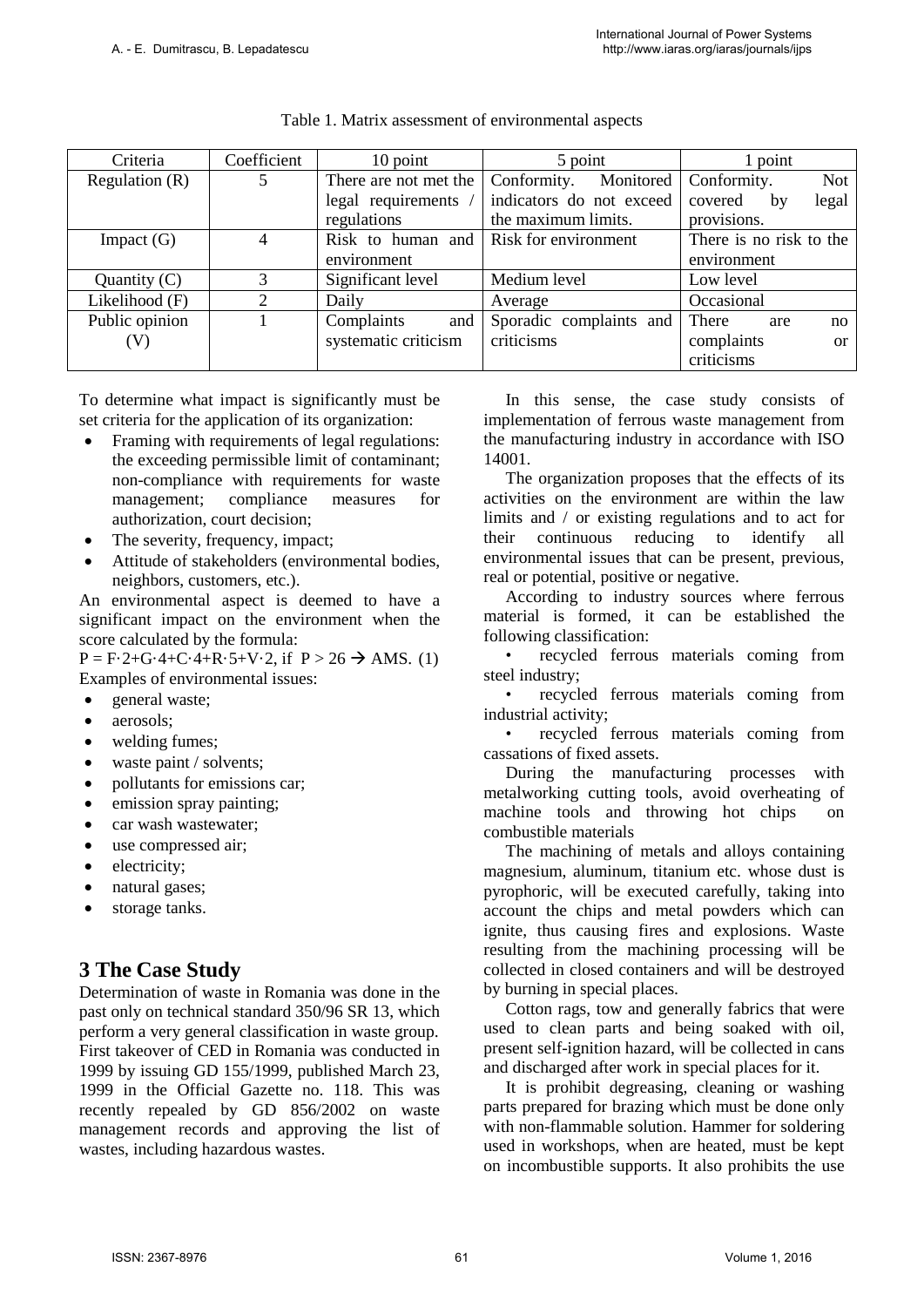| Criteria         | Coefficient | 10 point              | 5 point                  | 1 point                   |
|------------------|-------------|-----------------------|--------------------------|---------------------------|
| Regulation $(R)$ | 5           | There are not met the | Conformity.<br>Monitored | Conformity.<br><b>Not</b> |
|                  |             | legal requirements /  | indicators do not exceed | legal<br>covered<br>by    |
|                  |             | regulations           | the maximum limits.      | provisions.               |
| Impact $(G)$     | 4           | Risk to human and     | Risk for environment     | There is no risk to the   |
|                  |             | environment           |                          | environment               |
| Quantity $(C)$   | 3           | Significant level     | Medium level             | Low level                 |
| Likelihood (F)   | 2           | Daily                 | Average                  | Occasional                |
| Public opinion   |             | Complaints<br>and     | Sporadic complaints and  | There<br>are<br>no        |
| (V)              |             | systematic criticism  | criticisms               | complaints<br>or          |
|                  |             |                       |                          | criticisms                |

#### Table 1. Matrix assessment of environmental aspects

To determine what impact is significantly must be set criteria for the application of its organization:

- Framing with requirements of legal regulations: the exceeding permissible limit of contaminant; non-compliance with requirements for waste management; compliance measures for authorization, court decision;
- The severity, frequency, impact;
- Attitude of stakeholders (environmental bodies, neighbors, customers, etc.).

An environmental aspect is deemed to have a significant impact on the environment when the score calculated by the formula:

 $P = F \cdot 2 + G \cdot 4 + C \cdot 4 + R \cdot 5 + V \cdot 2$ , if  $P > 26 \rightarrow AMS$ . (1) Examples of environmental issues:

- general waste;
- aerosols;
- welding fumes;
- waste paint / solvents;
- pollutants for emissions car;
- emission spray painting;
- car wash wastewater:
- use compressed air:
- electricity;
- natural gases;
- storage tanks.

# **3 The Case Study**

Determination of waste in Romania was done in the past only on technical standard 350/96 SR 13, which perform a very general classification in waste group. First takeover of CED in Romania was conducted in 1999 by issuing GD 155/1999, published March 23, 1999 in the Official Gazette no. 118. This was recently repealed by GD 856/2002 on waste management records and approving the list of wastes, including hazardous wastes.

In this sense, the case study consists of implementation of ferrous waste management from the manufacturing industry in accordance with ISO 14001.

The organization proposes that the effects of its activities on the environment are within the law limits and / or existing regulations and to act for their continuous reducing to identify all environmental issues that can be present, previous, real or potential, positive or negative.

According to industry sources where ferrous material is formed, it can be established the following classification:

• recycled ferrous materials coming from steel industry;

• recycled ferrous materials coming from industrial activity;

• recycled ferrous materials coming from cassations of fixed assets.

During the manufacturing processes with metalworking cutting tools, avoid overheating of machine tools and throwing hot chips on combustible materials

The machining of metals and alloys containing magnesium, aluminum, titanium etc. whose dust is pyrophoric, will be executed carefully, taking into account the chips and metal powders which can ignite, thus causing fires and explosions. Waste resulting from the machining processing will be collected in closed containers and will be destroyed by burning in special places.

Cotton rags, tow and generally fabrics that were used to clean parts and being soaked with oil, present self-ignition hazard, will be collected in cans and discharged after work in special places for it.

It is prohibit degreasing, cleaning or washing parts prepared for brazing which must be done only with non-flammable solution. Hammer for soldering used in workshops, when are heated, must be kept on incombustible supports. It also prohibits the use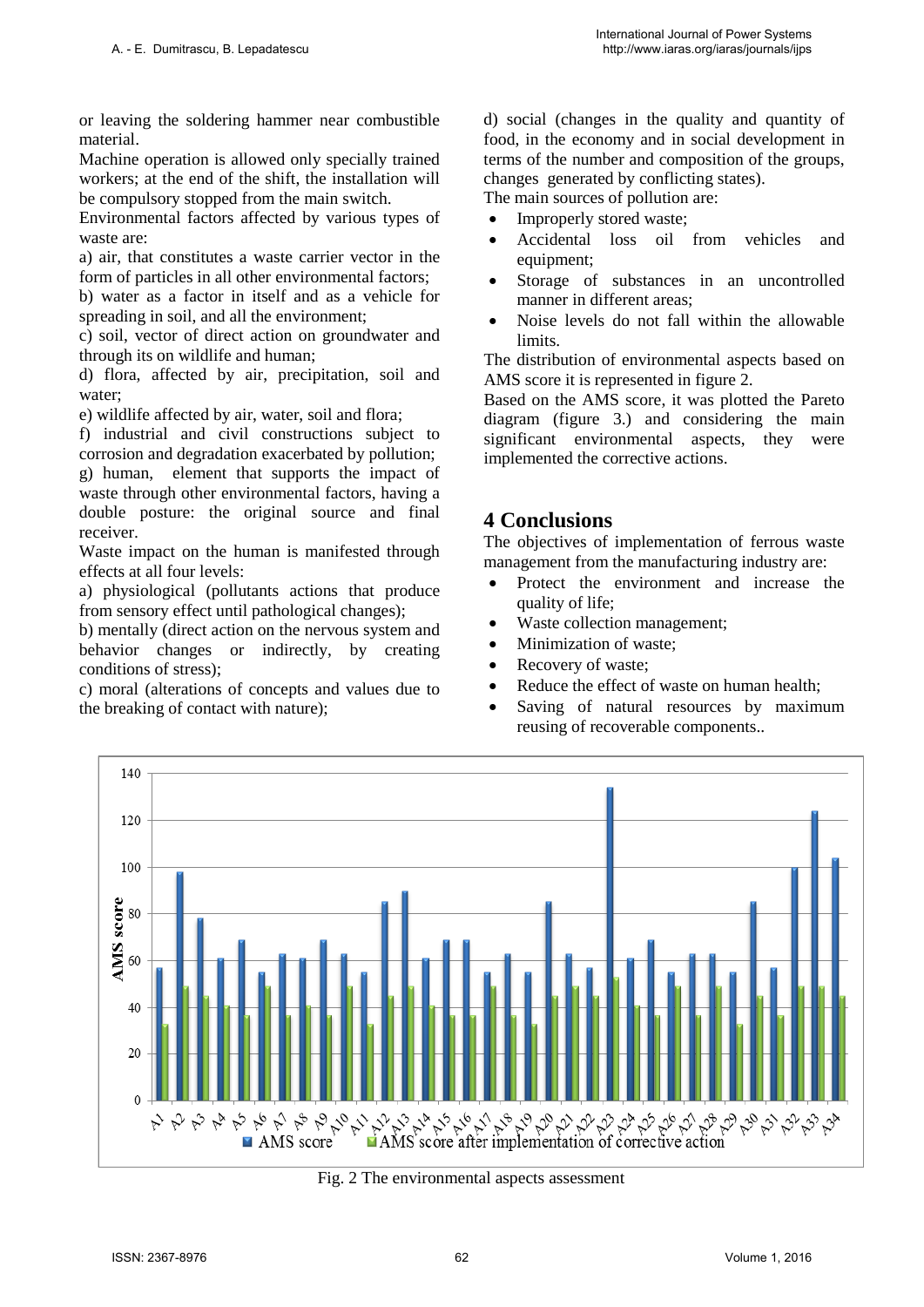or leaving the soldering hammer near combustible material.

Machine operation is allowed only specially trained workers; at the end of the shift, the installation will be compulsory stopped from the main switch.

Environmental factors affected by various types of waste are:

a) air, that constitutes a waste carrier vector in the form of particles in all other environmental factors;

b) water as a factor in itself and as a vehicle for spreading in soil, and all the environment;

c) soil, vector of direct action on groundwater and through its on wildlife and human;

d) flora, affected by air, precipitation, soil and water;

e) wildlife affected by air, water, soil and flora;

f) industrial and civil constructions subject to corrosion and degradation exacerbated by pollution; g) human, element that supports the impact of waste through other environmental factors, having a double posture: the original source and final receiver.

Waste impact on the human is manifested through effects at all four levels:

a) physiological (pollutants actions that produce from sensory effect until pathological changes);

b) mentally (direct action on the nervous system and behavior changes or indirectly, by creating conditions of stress);

c) moral (alterations of concepts and values due to the breaking of contact with nature);

d) social (changes in the quality and quantity of food, in the economy and in social development in terms of the number and composition of the groups, changes generated by conflicting states).

The main sources of pollution are:

- Improperly stored waste;
- Accidental loss oil from vehicles and equipment;
- Storage of substances in an uncontrolled manner in different areas;
- Noise levels do not fall within the allowable limits.

The distribution of environmental aspects based on AMS score it is represented in figure 2.

Based on the AMS score, it was plotted the Pareto diagram (figure 3.) and considering the main significant environmental aspects, they were implemented the corrective actions.

### **4 Conclusions**

The objectives of implementation of ferrous waste management from the manufacturing industry are:

- Protect the environment and increase the quality of life;
- Waste collection management;
- Minimization of waste:
- Recovery of waste:
- Reduce the effect of waste on human health;
- Saving of natural resources by maximum reusing of recoverable components..



Fig. 2 The environmental aspects assessment